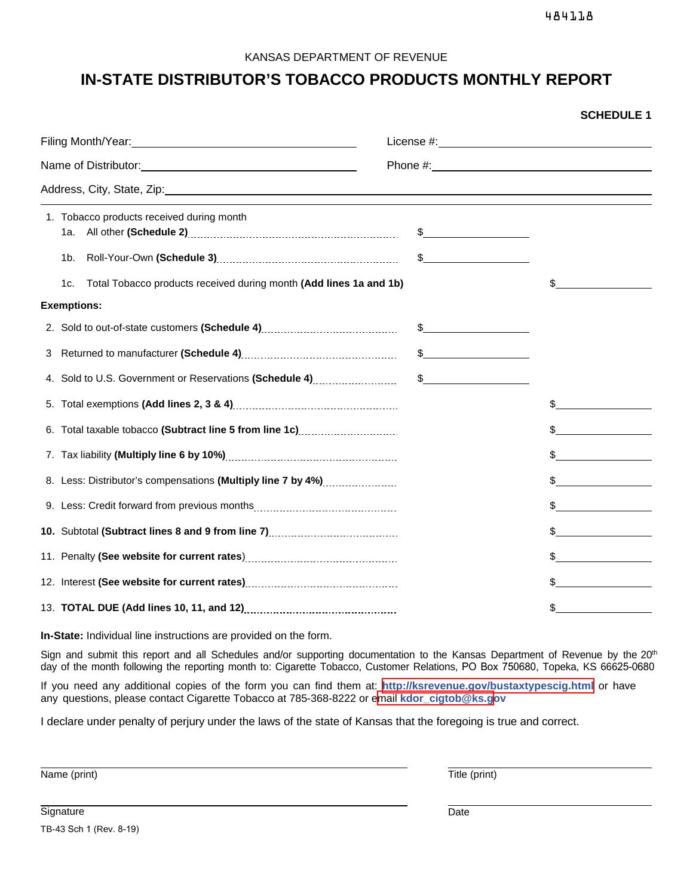484118

**SCHEDULE 1**

#### KANSAS DEPARTMENT OF REVENUE

## **IN-STATE DISTRIBUTOR'S TOBACCO PRODUCTS MONTHLY REPORT**

|  | 1. Tobacco products received during month<br>1a. l                                                                    | $\frac{1}{2}$ |                |
|--|-----------------------------------------------------------------------------------------------------------------------|---------------|----------------|
|  | 1b.                                                                                                                   | $\frac{1}{2}$ |                |
|  | Total Tobacco products received during month (Add lines 1a and 1b)<br>1c.                                             |               |                |
|  | <b>Exemptions:</b>                                                                                                    |               |                |
|  |                                                                                                                       | $\frac{1}{2}$ |                |
|  |                                                                                                                       | $\frac{1}{2}$ |                |
|  | 4. Sold to U.S. Government or Reservations (Schedule 4)                                                               | $\frac{1}{2}$ |                |
|  |                                                                                                                       |               |                |
|  |                                                                                                                       |               |                |
|  |                                                                                                                       |               | $\sim$         |
|  | 8. Less: Distributor's compensations (Multiply line 7 by 4%)                                                          |               | $\mathfrak{S}$ |
|  |                                                                                                                       |               |                |
|  | 10. Subtotal (Subtract lines 8 and 9 from line 7) <b>Construct Contact Contact Contact Contact Contact Contact Co</b> |               | $\frac{1}{2}$  |
|  |                                                                                                                       |               |                |
|  |                                                                                                                       |               |                |
|  |                                                                                                                       |               | $\mathbb{S}$   |

**In-State:** Individual line instructions are provided on the form.

Sign and submit this report and all Schedules and/or supporting documentation to the Kansas Department of Revenue by the 20<sup>th</sup> day of the month following the reporting month to: Cigarette Tobacco, Customer Relations, PO Box 750680, Topeka, KS 66625-0680

If you need any additional copies of the form you can find them at: **http://ksrevenue.gov[/bustaxtypescig.html](https://www.ksrevenue.org/bustaxtypescig.html)** or have any questions, please contact Cigarette Tobacco at 785-368-8222 or email **[kdor\\_cigtob@ks.g](mailto:kdor_cigtob@ks.gov)ov** 

I declare under penalty of perjury under the laws of the state of Kansas that the foregoing is true and correct.

Name (print) Title (print)

TB-43 Sch 1 (Rev. 8-19)

Signature Date Date of the Date of the Date of the Date of the Date of the Date of the Date of the Date of the